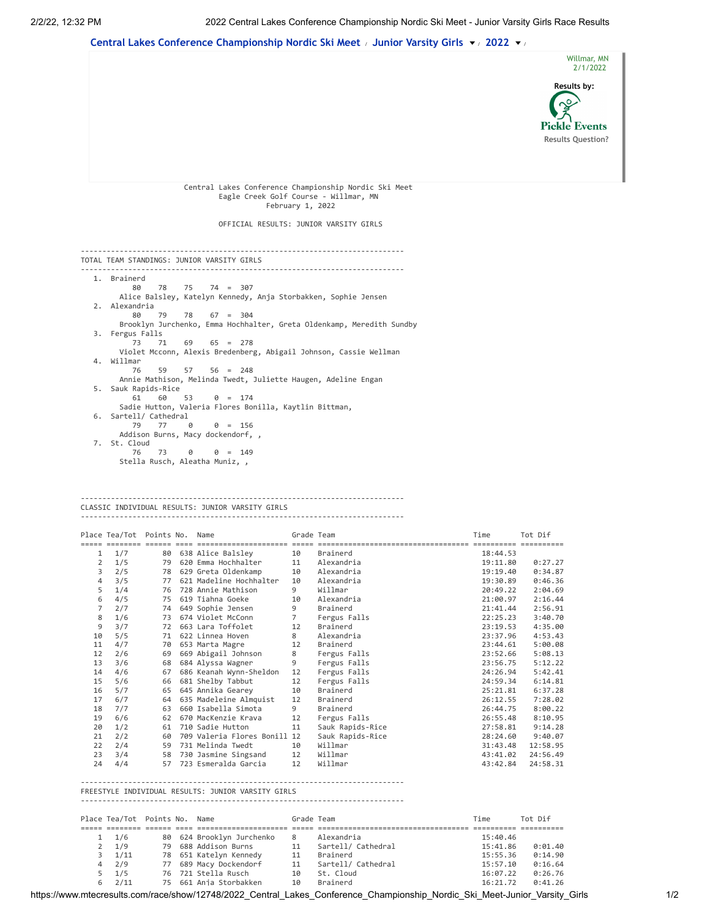## **Central Lakes Conference [Championship](https://www.mtecresults.com/event/show/4187/2022_Central_Lakes_Conference_Championship_Nordic_Ski_Meet) Nordic Ski Meet** / **[Junior Varsity](https://www.mtecresults.com/race/show/12748/2022_Central_Lakes_Conference_Championship_Nordic_Ski_Meet-Junior_Varsity_Girls) Girls** / **[2022](https://www.mtecresults.com/race/show/12748/2022_Central_Lakes_Conference_Championship_Nordic_Ski_Meet-Junior_Varsity_Girls)** /



## --------------------------------------------------------------------------- CLASSIC INDIVIDUAL RESULTS: JUNIOR VARSITY GIRLS

|                                                    | Place Tea/Tot Points No. Name |    |  |                                 | Grade Team  |                  | Time     | Tot Dif  |
|----------------------------------------------------|-------------------------------|----|--|---------------------------------|-------------|------------------|----------|----------|
|                                                    | accordos consos cons          |    |  | =============================== |             | ---              |          |          |
| 1                                                  | 1/7                           | 80 |  | 638 Alice Balsley               | 10          | Brainerd         | 18:44.53 |          |
| $\overline{2}$                                     | 1/5                           |    |  | 79 620 Emma Hochhalter          | 11          | Alexandria       | 19:11.80 | 0:27.27  |
| 3                                                  | 2/5                           |    |  | 78 629 Greta Oldenkamp          | 10          | Alexandria       | 19:19.40 | 0:34.87  |
| 4                                                  | 3/5                           | 77 |  | 621 Madeline Hochhalter         | 10          | Alexandria       | 19:30.89 | 0:46.36  |
| 5                                                  | 1/4                           | 76 |  | 728 Annie Mathison              | 9           | Willmar          | 20:49.22 | 2:04.69  |
| 6                                                  | 4/5                           | 75 |  | 619 Tiahna Goeke                | 10          | Alexandria       | 21:00.97 | 2:16.44  |
| $\overline{7}$                                     | 2/7                           | 74 |  | 649 Sophie Jensen               | 9           | Brainerd         | 21:41.44 | 2:56.91  |
| 8                                                  | 1/6                           | 73 |  | 674 Violet McConn               | $7^{\circ}$ | Fergus Falls     | 22:25.23 | 3:40.70  |
| 9                                                  | 3/7                           | 72 |  | 663 Lara Toffolet               | 12          | Brainerd         | 23:19.53 | 4:35.00  |
| 10                                                 | 5/5                           | 71 |  | 622 Linnea Hoven                | 8           | Alexandria       | 23:37.96 | 4:53.43  |
| 11                                                 | 4/7                           | 70 |  | 653 Marta Magre                 | 12          | Brainerd         | 23:44.61 | 5:00.08  |
| 12                                                 | 2/6                           | 69 |  | 669 Abigail Johnson             | 8           | Fergus Falls     | 23:52.66 | 5:08.13  |
| 13                                                 | 3/6                           | 68 |  | 684 Alyssa Wagner               | 9           | Fergus Falls     | 23:56.75 | 5:12.22  |
| 14                                                 | 4/6                           | 67 |  | 686 Keanah Wynn-Sheldon         | 12          | Fergus Falls     | 24:26.94 | 5:42.41  |
| 15                                                 | 5/6                           | 66 |  | 681 Shelby Tabbut               | 12          | Fergus Falls     | 24:59.34 | 6:14.81  |
| 16                                                 | 5/7                           | 65 |  | 645 Annika Gearey               | 10          | Brainerd         | 25:21.81 | 6:37.28  |
| 17                                                 | 6/7                           |    |  | 64 635 Madeleine Almquist       | 12          | Brainerd         | 26:12.55 | 7:28.02  |
| 18                                                 | 7/7                           | 63 |  | 660 Isabella Simota             | 9           | Brainerd         | 26:44.75 | 8:00.22  |
| 19                                                 | 6/6                           | 62 |  | 670 MacKenzie Krava             | 12          | Fergus Falls     | 26:55.48 | 8:10.95  |
| 20                                                 | 1/2                           | 61 |  | 710 Sadie Hutton                | 11          | Sauk Rapids-Rice | 27:58.81 | 9:14.28  |
| 21                                                 | 2/2                           | 60 |  | 709 Valeria Flores Bonill 12    |             | Sauk Rapids-Rice | 28:24.60 | 9:40.07  |
| 22                                                 | 2/4                           | 59 |  | 731 Melinda Twedt               | 10          | Willmar          | 31:43.48 | 12:58.95 |
| 23                                                 | 3/4                           | 58 |  | 730 Jasmine Singsand            | 12          | Willmar          | 43:41.02 | 24:56.49 |
| 24                                                 | 4/4                           | 57 |  | 723 Esmeralda Garcia            | 12          | Willmar          | 43:42.84 | 24:58.31 |
| FREESTYLE INDIVIDUAL RESULTS: JUNIOR VARSITY GIRLS |                               |    |  |                                 |             |                  |          |          |
|                                                    |                               |    |  |                                 |             |                  |          |          |
|                                                    | Place Tea/Tot Points No. Name |    |  |                                 | Grade Team  |                  | Time     | Tot Dif  |

| $1 \quad 1/6$    |  | 80 624 Brooklyn Jurchenko | 8   | Alexandria         | 15:40.46 |         |
|------------------|--|---------------------------|-----|--------------------|----------|---------|
| $2 \frac{1}{9}$  |  | 79 688 Addison Burns      | 11  | Sartell/ Cathedral | 15:41.86 | 0:01.40 |
| $3 \frac{1}{11}$ |  | 78 651 Katelyn Kennedy    | 11  | Brainerd           | 15:55.36 | 0:14.90 |
| $4 \t2/9$        |  | 77 689 Macy Dockendorf    |     | Sartell/ Cathedral | 15:57.10 | 0:16.64 |
| $5 \frac{1}{5}$  |  | 76 721 Stella Rusch       | 1 Q | St. Cloud          | 16:07.22 | 0:26.76 |
| $6$ $2/11$       |  | 75 661 Ania Storbakken    | 1 Q | Brainerd           | 16:21.72 | 0:41.26 |